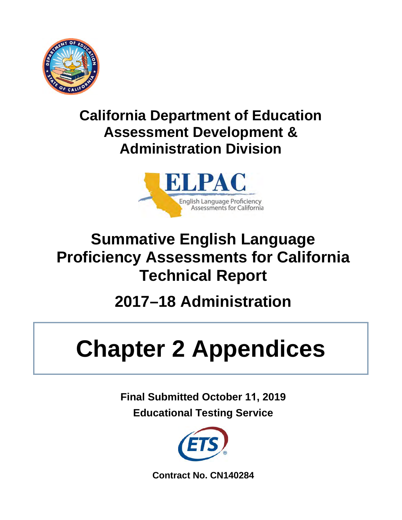

## **California Department of Education Assessment Development & Administration Division**



## **Summative English Language Proficiency Assessments for California Technical Report**

# **2017–18 Administration**

# **Chapter 2 Appendices**

**Final Submitted October 11, 2019 Educational Testing Service**



**Contract No. CN140284**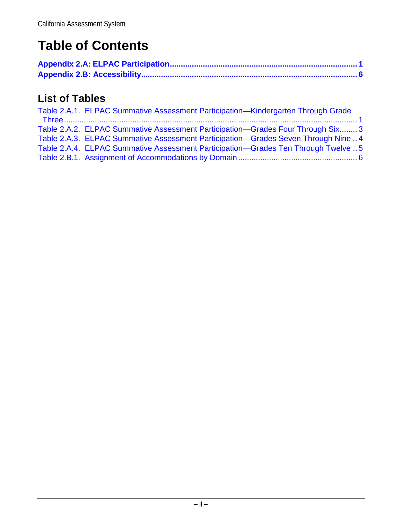## **Table of Contents**

#### **List of Tables**

| Table 2.A.1. ELPAC Summative Assessment Participation-Kindergarten Through Grade   |
|------------------------------------------------------------------------------------|
|                                                                                    |
| Table 2.A.2. ELPAC Summative Assessment Participation—Grades Four Through Six 3    |
| Table 2.A.3. ELPAC Summative Assessment Participation-Grades Seven Through Nine  4 |
| Table 2.A.4. ELPAC Summative Assessment Participation-Grades Ten Through Twelve  5 |
|                                                                                    |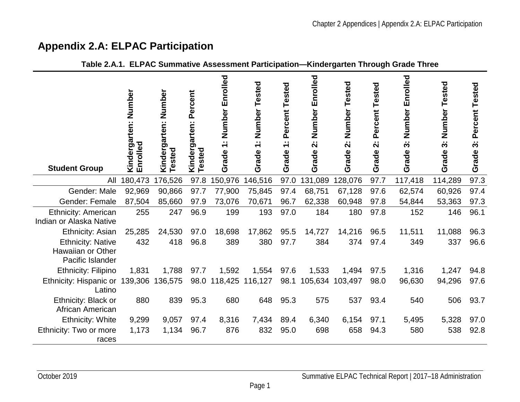#### <span id="page-2-2"></span>**Appendix 2.A: ELPAC Participation**

<span id="page-2-1"></span><span id="page-2-0"></span>

| <b>Student Group</b>                                                     | Kindergarten: Number<br>Enrolled | Kindergarten: Number<br><b>Tested</b> | Kindergarten: Percent<br>Tested | 1: Number Enrolled<br>Grade | Number Tested<br>$\overline{\div}$<br>Grade | Percent Tested<br>$\sim$<br>$\overline{\phantom{0}}$<br>Grade | Number Enrolled<br>$\ddot{\mathbf{v}}$<br>Grade | Number Tested<br>$\ddot{\mathbf{v}}$<br>Grade | Percent Tested<br>$\ddot{\mathbf{v}}$<br>Grade | Number Enrolled<br>$\ddot{\bm{\mathrm{o}}}$<br>Grade | Number<br>Tested<br>$\ddot{\bm{\mathrm{s}}}$<br>Grade | Percent Tested<br>$\ddot{\bm{\delta}}$<br>Grade |
|--------------------------------------------------------------------------|----------------------------------|---------------------------------------|---------------------------------|-----------------------------|---------------------------------------------|---------------------------------------------------------------|-------------------------------------------------|-----------------------------------------------|------------------------------------------------|------------------------------------------------------|-------------------------------------------------------|-------------------------------------------------|
| All                                                                      | 180,473                          | 176,526                               | 97.8                            | 150,976                     | 146,516                                     | 97.0                                                          | 131,089                                         | 128,076                                       | 97.7                                           | 117,418                                              | 114,289                                               | 97.3                                            |
| Gender: Male                                                             | 92,969                           | 90,866                                | 97.7                            | 77,900                      | 75,845                                      | 97.4                                                          | 68,751                                          | 67,128                                        | 97.6                                           | 62,574                                               | 60,926                                                | 97.4                                            |
| Gender: Female                                                           | 87,504                           | 85,660                                | 97.9                            | 73,076                      | 70,671                                      | 96.7                                                          | 62,338                                          | 60,948                                        | 97.8                                           | 54,844                                               | 53,363                                                | 97.3                                            |
| <b>Ethnicity: American</b><br>Indian or Alaska Native                    | 255                              | 247                                   | 96.9                            | 199                         | 193                                         | 97.0                                                          | 184                                             | 180                                           | 97.8                                           | 152                                                  | 146                                                   | 96.1                                            |
| Ethnicity: Asian                                                         | 25,285                           | 24,530                                | 97.0                            | 18,698                      | 17,862                                      | 95.5                                                          | 14,727                                          | 14,216                                        | 96.5                                           | 11,511                                               | 11,088                                                | 96.3                                            |
| <b>Ethnicity: Native</b><br><b>Hawaiian or Other</b><br>Pacific Islander | 432                              | 418                                   | 96.8                            | 389                         | 380                                         | 97.7                                                          | 384                                             | 374                                           | 97.4                                           | 349                                                  | 337                                                   | 96.6                                            |
| Ethnicity: Filipino                                                      | 1,831                            | 1,788                                 | 97.7                            | 1,592                       | 1,554                                       | 97.6                                                          | 1,533                                           | 1,494                                         | 97.5                                           | 1,316                                                | 1,247                                                 | 94.8                                            |
| Ethnicity: Hispanic or<br>Latino                                         | 139,306                          | 136,575                               |                                 | 98.0 118,425                | 116,127                                     | 98.1                                                          | 105,634                                         | 103,497                                       | 98.0                                           | 96,630                                               | 94,296                                                | 97.6                                            |
| Ethnicity: Black or<br>African American                                  | 880                              | 839                                   | 95.3                            | 680                         | 648                                         | 95.3                                                          | 575                                             | 537                                           | 93.4                                           | 540                                                  | 506                                                   | 93.7                                            |
| <b>Ethnicity: White</b>                                                  | 9,299                            | 9,057                                 | 97.4                            | 8,316                       | 7,434                                       | 89.4                                                          | 6,340                                           | 6,154                                         | 97.1                                           | 5,495                                                | 5,328                                                 | 97.0                                            |
| Ethnicity: Two or more<br>races                                          | 1,173                            | 1,134                                 | 96.7                            | 876                         | 832                                         | 95.0                                                          | 698                                             | 658                                           | 94.3                                           | 580                                                  | 538                                                   | 92.8                                            |

#### **Table 2.A.1. ELPAC Summative Assessment Participation—Kindergarten Through Grade Three**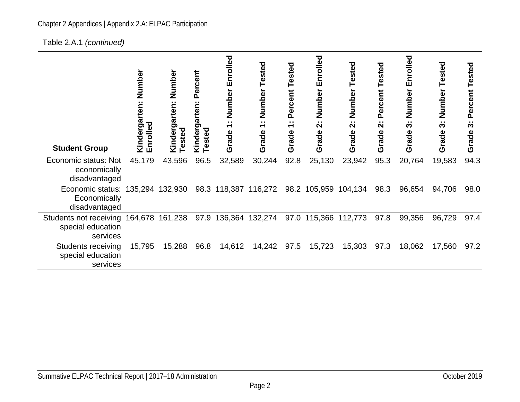#### Chapter 2 Appendices | Appendix 2.A: ELPAC Participation

[Table 2.A.1](#page-2-2) *(continued)*

| <b>Student Group</b>                                              | Numbe<br>rten:<br>Kinderga<br>Enrolled | Number<br>Kindergarten:<br><b>Tested</b> | Percent<br>garten:<br>$\tilde{\mathbf{e}}$<br>sted<br>Kind<br>ق | Number Enrolled<br>$\sim$ $\sim$<br>$\overline{\phantom{0}}$<br>Grade | Tested<br>Number<br>$\sim$ $\sim$<br>$\overline{\phantom{0}}$<br>Grade | Tested<br>Percent<br>$\sim$ $\sim$<br>$\overline{\phantom{0}}$<br>Grade | Enrolled<br>Number<br>$\sim$ $\sim$<br>$\mathbf{\Omega}$<br>irade<br>O | Tested<br>Number<br>$\sim 10$<br>$\mathbf{\Omega}$<br>Grade | Tested<br>Percent<br>$\sim$ $\sim$<br>$\mathbf{\Omega}$<br>Grade | Number Enrolled<br>$\sim$<br>S<br>Grade | Tested<br>Number<br>$\sim$ $\sim$<br>က<br>Grade | Percent Tested<br>$\sim$<br>ო<br>Grade |
|-------------------------------------------------------------------|----------------------------------------|------------------------------------------|-----------------------------------------------------------------|-----------------------------------------------------------------------|------------------------------------------------------------------------|-------------------------------------------------------------------------|------------------------------------------------------------------------|-------------------------------------------------------------|------------------------------------------------------------------|-----------------------------------------|-------------------------------------------------|----------------------------------------|
| Economic status: Not<br>economically<br>disadvantaged             | 45,179                                 | 43,596                                   | 96.5                                                            | 32,589                                                                | 30,244                                                                 | 92.8                                                                    | 25,130                                                                 | 23,942                                                      | 95.3                                                             | 20,764                                  | 19,583                                          | 94.3                                   |
| Economic status: 135,294 132,930<br>Economically<br>disadvantaged |                                        |                                          |                                                                 |                                                                       | 98.3 118,387 116,272                                                   |                                                                         | 98.2 105,959                                                           | 104,134                                                     | 98.3                                                             | 96,654                                  | 94,706                                          | 98.0                                   |
| Students not receiving<br>special education<br>services           | 164,678                                | 161,238                                  | 97.9                                                            |                                                                       | 136,364 132,274                                                        |                                                                         |                                                                        | 97.0 115,366 112,773                                        | 97.8                                                             | 99,356                                  | 96,729                                          | 97.4                                   |
| <b>Students receiving</b><br>special education<br>services        | 15,795                                 | 15,288                                   | 96.8                                                            | 14,612                                                                | 14,242                                                                 | 97.5                                                                    | 15,723                                                                 | 15,303                                                      | 97.3                                                             | 18,062                                  | 17,560                                          | 97.2                                   |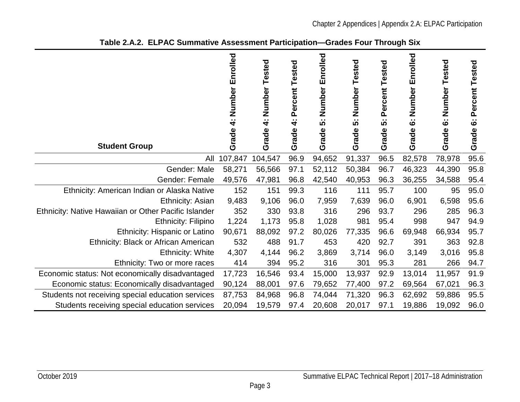<span id="page-4-0"></span>

| <b>Student Group</b>                                 | Enrolled<br>Number<br>4<br>Grade | Number<br>Tested<br>$\ddot{ }$<br>Grade | Percent Tested<br>$\sim$<br>4<br>Grade | Enrolled<br>Number<br>မ္မ<br>Grade | Tested<br>Number<br>မ္မ<br>Grade | Percent Tested<br>က်<br>Grade | Enrolled<br>Number<br>$\ddot{\circ}$<br>Grade | Tested<br>Number<br>$\ddot{\circ}$<br>Grade | Percent Tested<br>$\ddot{\circ}$<br>Grade |
|------------------------------------------------------|----------------------------------|-----------------------------------------|----------------------------------------|------------------------------------|----------------------------------|-------------------------------|-----------------------------------------------|---------------------------------------------|-------------------------------------------|
| All                                                  | 107,847                          | 104,547                                 | 96.9                                   | 94,652                             | 91,337                           | 96.5                          | 82,578                                        | 78,978                                      | 95.6                                      |
| Gender: Male                                         | 58,271                           | 56,566                                  | 97.1                                   | 52,112                             | 50,384                           | 96.7                          | 46,323                                        | 44,390                                      | 95.8                                      |
| Gender: Female                                       | 49,576                           | 47,981                                  | 96.8                                   | 42,540                             | 40,953                           | 96.3                          | 36,255                                        | 34,588                                      | 95.4                                      |
| Ethnicity: American Indian or Alaska Native          | 152                              | 151                                     | 99.3                                   | 116                                | 111                              | 95.7                          | 100                                           | 95                                          | 95.0                                      |
| Ethnicity: Asian                                     | 9,483                            | 9,106                                   | 96.0                                   | 7,959                              | 7,639                            | 96.0                          | 6,901                                         | 6,598                                       | 95.6                                      |
| Ethnicity: Native Hawaiian or Other Pacific Islander | 352                              | 330                                     | 93.8                                   | 316                                | 296                              | 93.7                          | 296                                           | 285                                         | 96.3                                      |
| <b>Ethnicity: Filipino</b>                           | 1,224                            | 1,173                                   | 95.8                                   | 1,028                              | 981                              | 95.4                          | 998                                           | 947                                         | 94.9                                      |
| Ethnicity: Hispanic or Latino                        | 90,671                           | 88,092                                  | 97.2                                   | 80,026                             | 77,335                           | 96.6                          | 69,948                                        | 66,934                                      | 95.7                                      |
| Ethnicity: Black or African American                 | 532                              | 488                                     | 91.7                                   | 453                                | 420                              | 92.7                          | 391                                           | 363                                         | 92.8                                      |
| <b>Ethnicity: White</b>                              | 4,307                            | 4,144                                   | 96.2                                   | 3,869                              | 3,714                            | 96.0                          | 3,149                                         | 3,016                                       | 95.8                                      |
| Ethnicity: Two or more races                         | 414                              | 394                                     | 95.2                                   | 316                                | 301                              | 95.3                          | 281                                           | 266                                         | 94.7                                      |
| Economic status: Not economically disadvantaged      | 17,723                           | 16,546                                  | 93.4                                   | 15,000                             | 13,937                           | 92.9                          | 13,014                                        | 11,957                                      | 91.9                                      |
| Economic status: Economically disadvantaged          | 90,124                           | 88,001                                  | 97.6                                   | 79,652                             | 77,400                           | 97.2                          | 69,564                                        | 67,021                                      | 96.3                                      |
| Students not receiving special education services    | 87,753                           | 84,968                                  | 96.8                                   | 74,044                             | 71,320                           | 96.3                          | 62,692                                        | 59,886                                      | 95.5                                      |
| Students receiving special education services        | 20,094                           | 19,579                                  | 97.4                                   | 20,608                             | 20,017                           | 97.1                          | 19,886                                        | 19,092                                      | 96.0                                      |

#### **Table 2.A.2. ELPAC Summative Assessment Participation—Grades Four Through Six**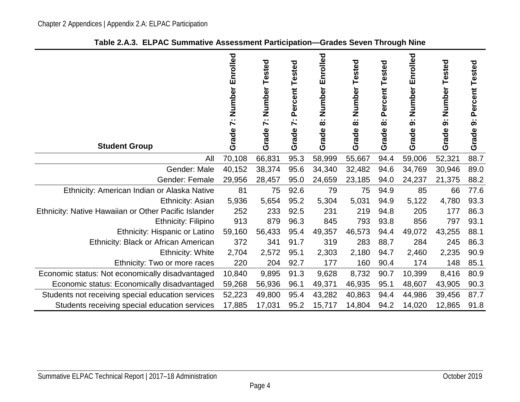<span id="page-5-0"></span>

| <b>Student Group</b>                                 | Enrolled<br>Number<br>$\ddot{\sim}$<br>Grade | Number<br>Tested<br>$\ddot{\sim}$<br>Grade | Tested<br>Percent<br>$\sim$<br>$\blacktriangleright$<br>Grade | Number Enrolled<br>$\sim$<br>$\infty$<br>Grade | Tested<br>Number<br>$\sim$ $\sim$<br>$\infty$<br>Grade | Percent Tested<br>$\sim$ $\sim$<br>$\infty$<br>Grade | Number Enrolled<br>$\sim$ $\sim$<br>ၜ<br>Grade | Number<br>Tested<br>$\sim$<br>ග<br>Grade | Percent Tested<br>$\sim$<br>ၜ<br>Grade |
|------------------------------------------------------|----------------------------------------------|--------------------------------------------|---------------------------------------------------------------|------------------------------------------------|--------------------------------------------------------|------------------------------------------------------|------------------------------------------------|------------------------------------------|----------------------------------------|
| All                                                  | 70,108                                       | 66,831                                     | 95.3                                                          | 58,999                                         | 55,667                                                 | 94.4                                                 | 59,006                                         | 52,321                                   | 88.7                                   |
| Gender: Male                                         | 40,152                                       | 38,374                                     | 95.6                                                          | 34,340                                         | 32,482                                                 | 94.6                                                 | 34,769                                         | 30,946                                   | 89.0                                   |
| Gender: Female                                       | 29,956                                       | 28,457                                     | 95.0                                                          | 24,659                                         | 23,185                                                 | 94.0                                                 | 24,237                                         | 21,375                                   | 88.2                                   |
| Ethnicity: American Indian or Alaska Native          | 81                                           | 75                                         | 92.6                                                          | 79                                             | 75                                                     | 94.9                                                 | 85                                             | 66                                       | 77.6                                   |
| Ethnicity: Asian                                     | 5,936                                        | 5,654                                      | 95.2                                                          | 5,304                                          | 5,031                                                  | 94.9                                                 | 5,122                                          | 4,780                                    | 93.3                                   |
| Ethnicity: Native Hawaiian or Other Pacific Islander | 252                                          | 233                                        | 92.5                                                          | 231                                            | 219                                                    | 94.8                                                 | 205                                            | 177                                      | 86.3                                   |
| <b>Ethnicity: Filipino</b>                           | 913                                          | 879                                        | 96.3                                                          | 845                                            | 793                                                    | 93.8                                                 | 856                                            | 797                                      | 93.1                                   |
| Ethnicity: Hispanic or Latino                        | 59,160                                       | 56,433                                     | 95.4                                                          | 49,357                                         | 46,573                                                 | 94.4                                                 | 49,072                                         | 43,255                                   | 88.1                                   |
| Ethnicity: Black or African American                 | 372                                          | 341                                        | 91.7                                                          | 319                                            | 283                                                    | 88.7                                                 | 284                                            | 245                                      | 86.3                                   |
| <b>Ethnicity: White</b>                              | 2,704                                        | 2,572                                      | 95.1                                                          | 2,303                                          | 2,180                                                  | 94.7                                                 | 2,460                                          | 2,235                                    | 90.9                                   |
| Ethnicity: Two or more races                         | 220                                          | 204                                        | 92.7                                                          | 177                                            | 160                                                    | 90.4                                                 | 174                                            | 148                                      | 85.1                                   |
| Economic status: Not economically disadvantaged      | 10,840                                       | 9,895                                      | 91.3                                                          | 9,628                                          | 8,732                                                  | 90.7                                                 | 10,399                                         | 8,416                                    | 80.9                                   |
| Economic status: Economically disadvantaged          | 59,268                                       | 56,936                                     | 96.1                                                          | 49,371                                         | 46,935                                                 | 95.1                                                 | 48,607                                         | 43,905                                   | 90.3                                   |
| Students not receiving special education services    | 52,223                                       | 49,800                                     | 95.4                                                          | 43,282                                         | 40,863                                                 | 94.4                                                 | 44,986                                         | 39,456                                   | 87.7                                   |
| Students receiving special education services        | 17,885                                       | 17,031                                     | 95.2                                                          | 15,717                                         | 14,804                                                 | 94.2                                                 | 14,020                                         | 12,865                                   | 91.8                                   |

**Table 2.A.3. ELPAC Summative Assessment Participation—Grades Seven Through Nine**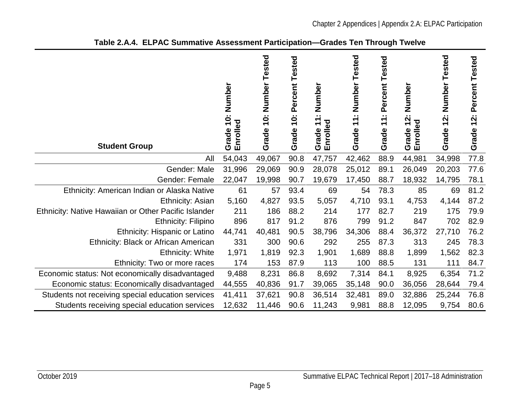<span id="page-6-0"></span>

| <b>Student Group</b>                                 | 10: Number<br>Enrolled<br>Grade | 10: Number Tested<br>Grade | Percent Tested<br>$\ddot{\mathbf{c}}$<br>Grade | Number<br>$\sim$<br>$\blacktriangledown$<br>Enrolled<br>$\overline{\phantom{0}}$<br>Grade | Tested<br>Number<br>$\sim$<br>$\blacktriangledown$<br>$\overline{\phantom{0}}$<br>Grade | Percent Tested<br>$\bullet$ $\bullet$<br>$\overline{\mathbf{r}}$<br>Grade | Number<br>$\mathbf{r}$<br>Enrolled<br>Grade | Number Tested<br>12:<br>Grade | Tested<br>Percent<br>$\ddot{2}$ :<br>Grade |
|------------------------------------------------------|---------------------------------|----------------------------|------------------------------------------------|-------------------------------------------------------------------------------------------|-----------------------------------------------------------------------------------------|---------------------------------------------------------------------------|---------------------------------------------|-------------------------------|--------------------------------------------|
| All                                                  | 54,043                          | 49,067                     | 90.8                                           | 47,757                                                                                    | 42,462                                                                                  | 88.9                                                                      | 44,981                                      | 34,998                        | 77.8                                       |
| Gender: Male                                         | 31,996                          | 29,069                     | 90.9                                           | 28,078                                                                                    | 25,012                                                                                  | 89.1                                                                      | 26,049                                      | 20,203                        | 77.6                                       |
| Gender: Female                                       | 22,047                          | 19,998                     | 90.7                                           | 19,679                                                                                    | 17,450                                                                                  | 88.7                                                                      | 18,932                                      | 14,795                        | 78.1                                       |
| Ethnicity: American Indian or Alaska Native          | 61                              | 57                         | 93.4                                           | 69                                                                                        | 54                                                                                      | 78.3                                                                      | 85                                          | 69                            | 81.2                                       |
| <b>Ethnicity: Asian</b>                              | 5,160                           | 4,827                      | 93.5                                           | 5,057                                                                                     | 4,710                                                                                   | 93.1                                                                      | 4,753                                       | 4,144                         | 87.2                                       |
| Ethnicity: Native Hawaiian or Other Pacific Islander | 211                             | 186                        | 88.2                                           | 214                                                                                       | 177                                                                                     | 82.7                                                                      | 219                                         | 175                           | 79.9                                       |
| Ethnicity: Filipino                                  | 896                             | 817                        | 91.2                                           | 876                                                                                       | 799                                                                                     | 91.2                                                                      | 847                                         | 702                           | 82.9                                       |
| Ethnicity: Hispanic or Latino                        | 44,741                          | 40,481                     | 90.5                                           | 38,796                                                                                    | 34,306                                                                                  | 88.4                                                                      | 36,372                                      | 27,710                        | 76.2                                       |
| Ethnicity: Black or African American                 | 331                             | 300                        | 90.6                                           | 292                                                                                       | 255                                                                                     | 87.3                                                                      | 313                                         | 245                           | 78.3                                       |
| <b>Ethnicity: White</b>                              | 1,971                           | 1,819                      | 92.3                                           | 1,901                                                                                     | 1,689                                                                                   | 88.8                                                                      | 1,899                                       | 1,562                         | 82.3                                       |
| Ethnicity: Two or more races                         | 174                             | 153                        | 87.9                                           | 113                                                                                       | 100                                                                                     | 88.5                                                                      | 131                                         | 111                           | 84.7                                       |
| Economic status: Not economically disadvantaged      | 9,488                           | 8,231                      | 86.8                                           | 8,692                                                                                     | 7,314                                                                                   | 84.1                                                                      | 8,925                                       | 6,354                         | 71.2                                       |
| Economic status: Economically disadvantaged          | 44,555                          | 40,836                     | 91.7                                           | 39,065                                                                                    | 35,148                                                                                  | 90.0                                                                      | 36,056                                      | 28,644                        | 79.4                                       |
| Students not receiving special education services    | 41,411                          | 37,621                     | 90.8                                           | 36,514                                                                                    | 32,481                                                                                  | 89.0                                                                      | 32,886                                      | 25,244                        | 76.8                                       |
| Students receiving special education services        | 12,632                          | 11,446                     | 90.6                                           | 11,243                                                                                    | 9,981                                                                                   | 88.8                                                                      | 12,095                                      | 9,754                         | 80.6                                       |

#### **Table 2.A.4. ELPAC Summative Assessment Participation—Grades Ten Through Twelve**